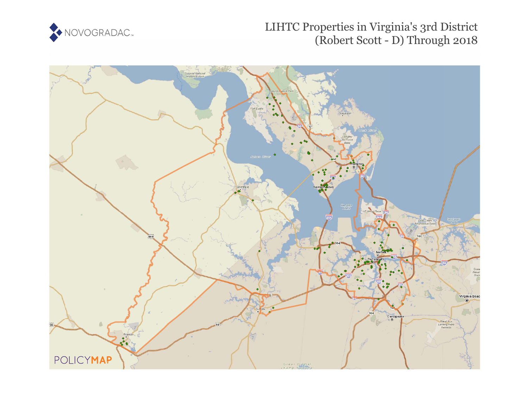

# LIHTC Properties in Virginia's 3rd District (Robert Scott - D) Through 2018

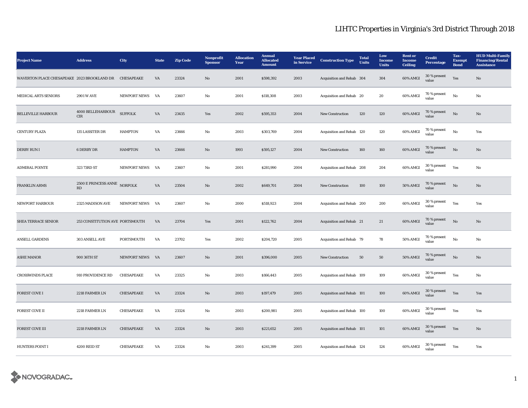| <b>Project Name</b>                         | <b>Address</b>                                         | City                | <b>State</b> | <b>Zip Code</b> | <b>Nonprofit</b><br><b>Sponsor</b> | <b>Allocation</b><br>Year | <b>Annual</b><br><b>Allocated</b><br><b>Amount</b> | <b>Year Placed</b><br>in Service | <b>Construction Type</b>  | <b>Total</b><br><b>Units</b> | Low<br><b>Income</b><br><b>Units</b> | <b>Rent or</b><br><b>Income</b><br><b>Ceiling</b> | <b>Credit</b><br><b>Percentage</b> | Tax-<br><b>Exempt</b><br><b>Bond</b> | <b>HUD Multi-Family</b><br><b>Financing/Rental</b><br><b>Assistance</b> |
|---------------------------------------------|--------------------------------------------------------|---------------------|--------------|-----------------|------------------------------------|---------------------------|----------------------------------------------------|----------------------------------|---------------------------|------------------------------|--------------------------------------|---------------------------------------------------|------------------------------------|--------------------------------------|-------------------------------------------------------------------------|
| WAVERTON PLACE CHESAPEAKE 2023 BROOKLAND DR |                                                        | CHESAPEAKE          | VA           | 23324           | $\mathbf{N}\mathbf{o}$             | 2001                      | \$598,392                                          | 2003                             | Acquisition and Rehab 304 |                              | 304                                  | 60% AMGI                                          | 30 % present<br>value              | Yes                                  | No                                                                      |
| MEDICAL ARTS SENIORS                        | <b>2901 W AVE</b>                                      | NEWPORT NEWS VA     |              | 23607           | No                                 | 2001                      | \$118,308                                          | 2003                             | Acquisition and Rehab 20  |                              | 20                                   | 60% AMGI                                          | 70 % present<br>value              | No                                   | No                                                                      |
| <b>BELLEVILLE HARBOUR</b>                   | $4000$ BELLEHARBOUR<br><b>CIR</b>                      | <b>SUFFOLK</b>      | VA           | 23435           | Yes                                | 2002                      | \$595,353                                          | 2004                             | New Construction          | 120                          | 120                                  | 60% AMGI                                          | 70 % present<br>value              | $\rm No$                             | No                                                                      |
| <b>CENTURY PLAZA</b>                        | 135 LASSITER DR                                        | <b>HAMPTON</b>      | VA           | 23666           | No                                 | 2003                      | \$303,769                                          | 2004                             | Acquisition and Rehab 120 |                              | 120                                  | 60% AMGI                                          | 70 % present<br>value              | $_{\rm No}$                          | Yes                                                                     |
| DERBY RUN I                                 | 6 DERBY DR                                             | <b>HAMPTON</b>      | VA           | 23666           | No                                 | 1993                      | \$595,127                                          | 2004                             | <b>New Construction</b>   | 160                          | 160                                  | 60% AMGI                                          | 70 % present<br>value              | No                                   | No                                                                      |
| <b>ADMIRAL POINTE</b>                       | 323 73RD ST                                            | <b>NEWPORT NEWS</b> | VA           | 23607           | No                                 | 2001                      | \$281,990                                          | 2004                             | Acquisition and Rehab 208 |                              | 204                                  | 60% AMGI                                          | 30 % present<br>value              | Yes                                  | No                                                                      |
| <b>FRANKLIN ARMS</b>                        | 2500 E PRINCESS ANNE NORFOLK<br>$\mathbf{R}\mathbf{D}$ |                     | VA           | 23504           | $\mathbf{N}\mathbf{o}$             | 2002                      | \$649,701                                          | 2004                             | New Construction          | 100                          | 100                                  | <b>50% AMGI</b>                                   | 70 % present<br>value              | No                                   | No                                                                      |
| <b>NEWPORT HARBOUR</b>                      | 2325 MADISON AVE                                       | <b>NEWPORT NEWS</b> | VA           | 23607           | No                                 | 2000                      | \$518,923                                          | 2004                             | Acquisition and Rehab 200 |                              | 200                                  | 60% AMGI                                          | 30 % present<br>value              | Yes                                  | Yes                                                                     |
| <b>SHEA TERRACE SENIOR</b>                  | 253 CONSTITUTION AVE PORTSMOUTH                        |                     | VA           | 23704           | Yes                                | 2001                      | \$122,762                                          | 2004                             | Acquisition and Rehab 21  |                              | 21                                   | 60% AMGI                                          | 70 % present<br>value              | No                                   | No                                                                      |
| <b>ANSELL GARDENS</b>                       | 303 ANSELL AVE                                         | PORTSMOUTH          | VA           | 23702           | Yes                                | 2002                      | \$204,720                                          | 2005                             | Acquisition and Rehab 79  |                              | 78                                   | 50% AMGI                                          | 70 % present<br>value              | $\mathbf{N}\mathbf{o}$               | No                                                                      |
| <b>ASHE MANOR</b>                           | 900 36TH ST                                            | NEWPORT NEWS VA     |              | 23607           | $\mathbf{N}\mathbf{o}$             | 2001                      | \$396,000                                          | 2005                             | New Construction          | 50                           | ${\bf 50}$                           | <b>50% AMGI</b>                                   | 70 % present<br>value              | No                                   | No                                                                      |
| <b>CROSSWINDS PLACE</b>                     | 910 PROVIDENCE RD                                      | CHESAPEAKE          | VA           | 23325           | No                                 | 2003                      | \$166,443                                          | 2005                             | Acquisition and Rehab 109 |                              | 109                                  | 60% AMGI                                          | 30 % present<br>value              | Yes                                  | No                                                                      |
| <b>FOREST COVE I</b>                        | 2218 FARMER LN                                         | CHESAPEAKE          | VA           | 23324           | No                                 | 2003                      | \$197,479                                          | 2005                             | Acquisition and Rehab 101 |                              | 100                                  | 60% AMGI                                          | 30 % present<br>value              | Yes                                  | Yes                                                                     |
| <b>FOREST COVE II</b>                       | 2218 FARMER LN                                         | CHESAPEAKE          | VA           | 23324           | No                                 | 2003                      | \$200,981                                          | 2005                             | Acquisition and Rehab 100 |                              | 100                                  | 60% AMGI                                          | 30 % present<br>value              | Yes                                  | Yes                                                                     |
| <b>FOREST COVE III</b>                      | 2218 FARMER LN                                         | CHESAPEAKE          | VA           | 23324           | No                                 | 2003                      | \$221,652                                          | 2005                             | Acquisition and Rehab 101 |                              | 101                                  | 60% AMGI                                          | 30 % present<br>value              | Yes                                  | No                                                                      |
| <b>HUNTERS POINT I</b>                      | 4200 REID ST                                           | CHESAPEAKE          | VA           | 23324           | No                                 | 2003                      | \$241,399                                          | 2005                             | Acquisition and Rehab 124 |                              | 124                                  | 60% AMGI                                          | 30 % present<br>value              | Yes                                  | Yes                                                                     |

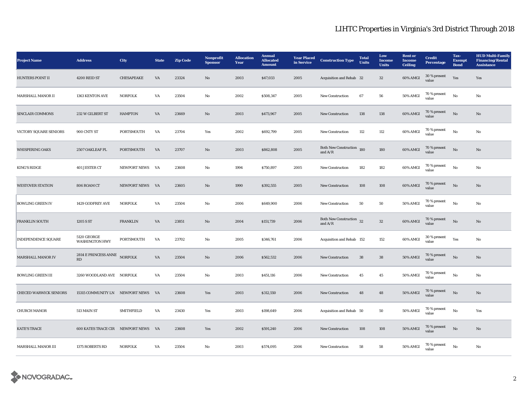| <b>Project Name</b>           | <b>Address</b>                              | City                | <b>State</b>           | <b>Zip Code</b> | Nonprofit<br><b>Sponsor</b> | <b>Allocation</b><br>Year | <b>Annual</b><br><b>Allocated</b><br><b>Amount</b> | <b>Year Placed</b><br>in Service | <b>Construction Type</b>                  | <b>Total</b><br><b>Units</b> | Low<br><b>Income</b><br><b>Units</b> | <b>Rent</b> or<br><b>Income</b><br><b>Ceiling</b> | <b>Credit</b><br><b>Percentage</b> | Tax-<br><b>Exempt</b><br><b>Bond</b> | <b>HUD Multi-Family</b><br><b>Financing/Rental</b><br><b>Assistance</b> |
|-------------------------------|---------------------------------------------|---------------------|------------------------|-----------------|-----------------------------|---------------------------|----------------------------------------------------|----------------------------------|-------------------------------------------|------------------------------|--------------------------------------|---------------------------------------------------|------------------------------------|--------------------------------------|-------------------------------------------------------------------------|
| <b>HUNTERS POINT II</b>       | 4200 REID ST                                | CHESAPEAKE          | $\mathbf{V}\mathbf{A}$ | 23324           | $\mathbf{N}\mathbf{o}$      | 2003                      | \$47,033                                           | 2005                             | Acquisition and Rehab 32                  |                              | $32\,$                               | 60% AMGI                                          | 30 % present<br>value              | Yes                                  | Yes                                                                     |
| MARSHALL MANOR II             | 1363 KENTON AVE                             | <b>NORFOLK</b>      | VA                     | 23504           | No                          | 2002                      | \$508,347                                          | 2005                             | <b>New Construction</b>                   | 67                           | 56                                   | <b>50% AMGI</b>                                   | 70 % present<br>value              | $_{\rm No}$                          | No                                                                      |
| SINCLAIR COMMONS              | 232 W GILBERT ST                            | <b>HAMPTON</b>      | VA                     | 23669           | No                          | 2003                      | \$473,967                                          | 2005                             | <b>New Construction</b>                   | 138                          | 138                                  | 60% AMGI                                          | 70 % present<br>value              | No                                   | No                                                                      |
| VICTORY SQUARE SENIORS        | 900 CNTY ST                                 | PORTSMOUTH          | VA                     | 23704           | Yes                         | 2002                      | \$692,799                                          | 2005                             | <b>New Construction</b>                   | 112                          | 112                                  | 60% AMGI                                          | 70 % present<br>value              | No                                   | No                                                                      |
| <b>WHISPERING OAKS</b>        | 2507 OAKLEAF PL                             | PORTSMOUTH          | VA                     | 23707           | No                          | 2003                      | \$862,808                                          | 2005                             | <b>Both New Construction</b><br>and $A/R$ | 180                          | 180                                  | 60% AMGI                                          | 70 % present<br>value              | No                                   | No                                                                      |
| KING'S RIDGE                  | 401 JESTER CT                               | <b>NEWPORT NEWS</b> | <b>VA</b>              | 23608           | No                          | 1994                      | \$750,897                                          | 2005                             | <b>New Construction</b>                   | 182                          | 182                                  | 60% AMGI                                          | 70 % present<br>value              | No                                   | No                                                                      |
| <b>WESTOVER STATION</b>       | 806 ROAM CT                                 | NEWPORT NEWS VA     |                        | 23605           | $\mathbf{N}\mathbf{o}$      | 1990                      | \$392,555                                          | 2005                             | <b>New Construction</b>                   | 108                          | 108                                  | 60% AMGI                                          | 70 % present<br>value              | $_{\rm No}$                          | No                                                                      |
| <b>BOWLING GREEN IV</b>       | 1429 GODFREY AVE                            | <b>NORFOLK</b>      | VA                     | 23504           | No                          | 2006                      | \$649,900                                          | 2006                             | <b>New Construction</b>                   | 50                           | 50                                   | 50% AMGI                                          | 70 % present<br>value              | No                                   | No                                                                      |
| <b>FRANKLIN SOUTH</b>         | 1205 S ST                                   | <b>FRANKLIN</b>     | VA                     | 23851           | $\mathbf{N}\mathbf{o}$      | 2004                      | \$151,739                                          | 2006                             | Both New Construction $32$<br>and $A/R$   |                              | $32\,$                               | 60% AMGI                                          | 70 % present<br>value              | $\mathbf{N}\mathbf{o}$               | No                                                                      |
| <b>INDEPENDENCE SQUARE</b>    | <b>5120 GEORGE</b><br><b>WASHINGTON HWY</b> | PORTSMOUTH          | VA                     | 23702           | No                          | 2005                      | \$346,761                                          | 2006                             | Acquisition and Rehab 152                 |                              | 152                                  | 60% AMGI                                          | 30 % present<br>value              | Yes                                  | No                                                                      |
| MARSHALL MANOR IV             | 2814 E PRINCESS ANNE<br>RD                  | <b>NORFOLK</b>      | VA                     | 23504           | No                          | 2006                      | \$562,532                                          | 2006                             | <b>New Construction</b>                   | 38                           | 38                                   | 50% AMGI                                          | 70 % present<br>value              | No                                   | No                                                                      |
| <b>BOWLING GREEN III</b>      | 3260 WOODLAND AVE NORFOLK                   |                     | VA                     | 23504           | No                          | 2003                      | \$451,116                                          | 2006                             | <b>New Construction</b>                   | 45                           | 45                                   | 50% AMGI                                          | 70 % present<br>value              | No                                   | No                                                                      |
| <b>CHECED WARWICK SENIORS</b> | 15315 COMMUNITY LN NEWPORT NEWS             |                     | <b>VA</b>              | 23608           | Yes                         | 2003                      | \$312,550                                          | 2006                             | <b>New Construction</b>                   | 48                           | 48                                   | <b>50% AMGI</b>                                   | 70 % present<br>value              | $\rm No$                             | No                                                                      |
| <b>CHURCH MANOR</b>           | 513 MAIN ST                                 | <b>SMITHFIELD</b>   | VA                     | 23430           | Yes                         | 2003                      | \$198,649                                          | 2006                             | Acquisition and Rehab 50                  |                              | 50                                   | 50% AMGI                                          | 70 % present<br>value              | No                                   | Yes                                                                     |
| <b>KATE'S TRACE</b>           | <b>600 KATES TRACE CIR NEWPORT NEWS</b>     |                     | <b>VA</b>              | 23608           | Yes                         | 2002                      | \$591,240                                          | 2006                             | <b>New Construction</b>                   | 108                          | 108                                  | 50% AMGI                                          | 70 % present<br>value              | No                                   | No                                                                      |
| MARSHALL MANOR III            | 1375 ROBERTS RD                             | <b>NORFOLK</b>      | VA                     | 23504           | No                          | 2003                      | \$574,095                                          | 2006                             | <b>New Construction</b>                   | 58                           | 58                                   | 50% AMGI                                          | 70 % present<br>value              | $_{\rm No}$                          | No                                                                      |

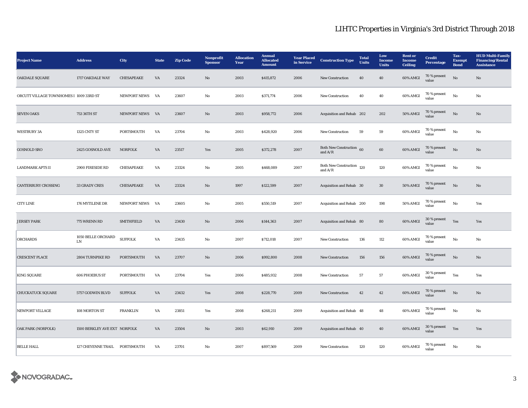| <b>Project Name</b>                     | <b>Address</b>                   | <b>City</b>         | <b>State</b> | <b>Zip Code</b> | <b>Nonprofit</b><br><b>Sponsor</b> | <b>Allocation</b><br>Year | <b>Annual</b><br><b>Allocated</b><br><b>Amount</b> | <b>Year Placed</b><br>in Service | <b>Construction Type</b>                                 | <b>Total</b><br><b>Units</b> | Low<br><b>Income</b><br><b>Units</b> | <b>Rent</b> or<br><b>Income</b><br><b>Ceiling</b> | <b>Credit</b><br><b>Percentage</b> | Tax-<br><b>Exempt</b><br><b>Bond</b> | <b>HUD Multi-Family</b><br><b>Financing/Rental</b><br><b>Assistance</b> |
|-----------------------------------------|----------------------------------|---------------------|--------------|-----------------|------------------------------------|---------------------------|----------------------------------------------------|----------------------------------|----------------------------------------------------------|------------------------------|--------------------------------------|---------------------------------------------------|------------------------------------|--------------------------------------|-------------------------------------------------------------------------|
| <b>OAKDALE SQUARE</b>                   | 1717 OAKDALE WAY                 | CHESAPEAKE          | VA           | 23324           | No                                 | 2003                      | \$415,872                                          | 2006                             | <b>New Construction</b>                                  | 40                           | 40                                   | 60% AMGI                                          | 70 % present<br>value              | No                                   | No                                                                      |
| ORCUTT VILLAGE TOWNHOMES I 1009 33RD ST |                                  | NEWPORT NEWS VA     |              | 23607           | No                                 | 2003                      | \$371,774                                          | 2006                             | <b>New Construction</b>                                  | 40                           | 40                                   | 60% AMGI                                          | 70 % present<br>value              | $_{\rm No}$                          | No                                                                      |
| <b>SEVEN OAKS</b>                       | 753 36TH ST                      | NEWPORT NEWS VA     |              | 23607           | No                                 | 2003                      | \$958,772                                          | 2006                             | Acquisition and Rehab 202                                |                              | 202                                  | <b>50% AMGI</b>                                   | 70 % present<br>value              | No                                   | No                                                                      |
| <b>WESTBURY 3A</b>                      | 1325 CNTY ST                     | PORTSMOUTH          | VA           | 23704           | No                                 | 2003                      | \$428,920                                          | 2006                             | New Construction                                         | 59                           | 59                                   | 60% AMGI                                          | 70 % present<br>value              | $_{\rm No}$                          | No                                                                      |
| <b>GOSNOLD SRO</b>                      | 2425 GOSNOLD AVE                 | <b>NORFOLK</b>      | VA           | 23517           | Yes                                | 2005                      | \$372,278                                          | 2007                             | Both New Construction 60<br>and $\rm A/R$                |                              | 60                                   | 60% AMGI                                          | 70 % present<br>value              | No                                   | No                                                                      |
| <b>LANDMARK APTS II</b>                 | 2900 FIRESIDE RD                 | CHESAPEAKE          | VA           | 23324           | No                                 | 2005                      | \$468,089                                          | 2007                             | Both New Construction 120<br>and $\mathrm{A}/\mathrm{R}$ |                              | 120                                  | 60% AMGI                                          | 70 % present<br>value              | No                                   | No                                                                      |
| <b>CANTERBURY CROSSING</b>              | 33 GRADY CRES                    | CHESAPEAKE          | VA           | 23324           | $\mathbf{N}\mathbf{o}$             | 1997                      | \$122,599                                          | 2007                             | Acquisition and Rehab 30                                 |                              | $30\,$                               | 50% AMGI                                          | 70 % present<br>value              | $\rm No$                             | $\mathbf{N}\mathbf{o}$                                                  |
| <b>CITY LINE</b>                        | 176 MYTILENE DR                  | <b>NEWPORT NEWS</b> | VA           | 23605           | No                                 | 2005                      | \$550,519                                          | 2007                             | Acquisition and Rehab 200                                |                              | 198                                  | <b>50% AMGI</b>                                   | 70 % present<br>value              | No                                   | Yes                                                                     |
| <b>JERSEY PARK</b>                      | 775 WRENN RD                     | <b>SMITHFIELD</b>   | VA           | 23430           | $\mathbf{N}\mathbf{o}$             | 2006                      | \$144,363                                          | 2007                             | Acquisition and Rehab 80                                 |                              | 80                                   | 60% AMGI                                          | 30 % present<br>value              | Yes                                  | Yes                                                                     |
| <b>ORCHARDS</b>                         | 1050 BELLE ORCHARD<br>${\rm LN}$ | <b>SUFFOLK</b>      | VA           | 23435           | No                                 | 2007                      | \$712,018                                          | 2007                             | New Construction                                         | 136                          | $112\,$                              | 60% AMGI                                          | 70 % present<br>value              | No                                   | No                                                                      |
| <b>CRESCENT PLACE</b>                   | 2804 TURNPIKE RD                 | PORTSMOUTH          | VA           | 23707           | No                                 | 2006                      | \$992,800                                          | 2008                             | <b>New Construction</b>                                  | 156                          | 156                                  | 60% AMGI                                          | 70 % present<br>value              | No                                   | No                                                                      |
| <b>KING SQUARE</b>                      | <b>606 PHOEBUS ST</b>            | PORTSMOUTH          | VA           | 23704           | Yes                                | 2006                      | \$485,932                                          | 2008                             | <b>New Construction</b>                                  | 57                           | 57                                   | 60% AMGI                                          | 30 % present<br>value              | Yes                                  | Yes                                                                     |
| <b>CHUCKATUCK SQUARE</b>                | 5757 GODWIN BLVD                 | <b>SUFFOLK</b>      | VA           | 23432           | Yes                                | 2008                      | \$228,770                                          | 2009                             | New Construction                                         | 42                           | $\bf 42$                             | 60% AMGI                                          | 70 % present<br>value              | $\rm No$                             | No                                                                      |
| NEWPORT VILLAGE                         | 108 MORTON ST                    | <b>FRANKLIN</b>     | VA           | 23851           | Yes                                | 2008                      | \$268,211                                          | 2009                             | Acquisition and Rehab 48                                 |                              | 48                                   | 60% AMGI                                          | 70 % present<br>value              | No                                   | No                                                                      |
| <b>OAK PARK (NORFOLK)</b>               | 1500 BERKLEY AVE EXT NORFOLK     |                     | VA           | 23504           | No                                 | 2003                      | \$62,910                                           | 2009                             | Acquisition and Rehab 40                                 |                              | 40                                   | 60% AMGI                                          | 30 % present<br>value              | Yes                                  | Yes                                                                     |
| <b>BELLE HALL</b>                       | 127 CHEYENNE TRAIL PORTSMOUTH    |                     | VA           | 23701           | No                                 | 2007                      | \$897,569                                          | 2009                             | New Construction                                         | 120                          | 120                                  | 60% AMGI                                          | 70 % present<br>value              | No                                   | No                                                                      |

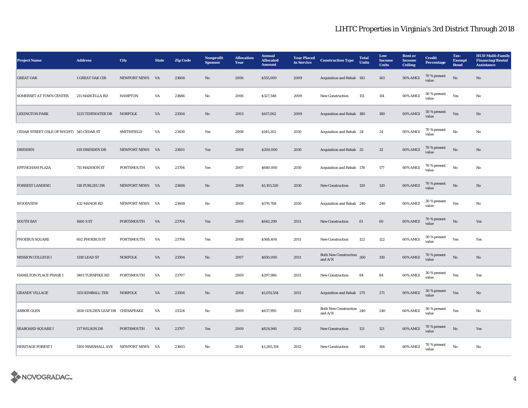| <b>Project Name</b>                       | <b>Address</b>                 | <b>City</b>       | <b>State</b> | <b>Zip Code</b> | <b>Nonprofit</b><br><b>Sponsor</b> | <b>Allocation</b><br>Year | <b>Annual</b><br><b>Allocated</b><br><b>Amount</b> | <b>Year Placed</b><br>in Service | <b>Construction Type</b>                  | <b>Total</b><br><b>Units</b> | Low<br><b>Income</b><br><b>Units</b> | <b>Rent</b> or<br><b>Income</b><br><b>Ceiling</b> | <b>Credit</b><br><b>Percentage</b> | Tax-<br><b>Exempt</b><br><b>Bond</b> | <b>HUD Multi-Family</b><br><b>Financing/Rental</b><br><b>Assistance</b> |
|-------------------------------------------|--------------------------------|-------------------|--------------|-----------------|------------------------------------|---------------------------|----------------------------------------------------|----------------------------------|-------------------------------------------|------------------------------|--------------------------------------|---------------------------------------------------|------------------------------------|--------------------------------------|-------------------------------------------------------------------------|
| <b>GREAT OAK</b>                          | 1 GREAT OAK CIR                | NEWPORT NEWS      | VA           | 23606           | $\mathbf{N}\mathbf{o}$             | 2006                      | \$555,000                                          | 2009                             | Acquisition and Rehab 143                 |                              | 143                                  | 50% AMGI                                          | 70 % present<br>value              | $_{\rm No}$                          | No                                                                      |
| <b>SOMERSET AT TOWN CENTER</b>            | 211 MARCELLA RD                | <b>HAMPTON</b>    | VA           | 23666           | No                                 | 2006                      | \$327,548                                          | 2009                             | New Construction                          | 151                          | 114                                  | 60% AMGI                                          | 30 % present<br>value              | Yes                                  | No                                                                      |
| <b>LEXINGTON PARK</b>                     | 1225 TIDEWATER DR              | <b>NORFOLK</b>    | VA           | 23504           | No                                 | 2003                      | \$417,062                                          | 2009                             | Acquisition and Rehab 180                 |                              | 180                                  | 60% AMGI                                          | 30 % present<br>value              | Yes                                  | No                                                                      |
| CEDAR STREET (ISLE OF WIGHT) 545 CEDAR ST |                                | <b>SMITHFIELD</b> | VA           | 23430           | Yes                                | 2008                      | \$145,202                                          | 2010                             | Acquisition and Rehab 24                  |                              | 24                                   | 60% AMGI                                          | 70 % present<br>value              | No                                   | No                                                                      |
| <b>DRESDEN</b>                            | 619 DRESDEN DR                 | NEWPORT NEWS VA   |              | 23601           | Yes                                | 2008                      | \$200,000                                          | 2010                             | Acquisition and Rehab 32                  |                              | $32\phantom{.0}$                     | 60% AMGI                                          | 70 % present<br>value              | No                                   | No                                                                      |
| <b>EFFINGHAM PLAZA</b>                    | 715 MADISON ST                 | PORTSMOUTH        | VA           | 23704           | Yes                                | 2007                      | \$640,000                                          | 2010                             | Acquisition and Rehab 178                 |                              | 177                                  | 60% AMGI                                          | 70 % present<br>value              | No                                   | No                                                                      |
| <b>FORREST LANDING</b>                    | 518 PURLIEU DR                 | NEWPORT NEWS VA   |              | 23606           | $\mathbf{N}\mathbf{o}$             | 2008                      | \$1,101,520                                        | 2010                             | <b>New Construction</b>                   | 120                          | 120                                  | 60% AMGI                                          | 70 % present<br>value              | No                                   | No                                                                      |
| <b>WOODVIEW</b>                           | 432 MANOR RD                   | NEWPORT NEWS      | VA           | 23608           | No                                 | 2009                      | \$576,708                                          | 2010                             | Acquisition and Rehab 240                 |                              | 240                                  | 60% AMGI                                          | 30 % present<br>value              | Yes                                  | No                                                                      |
| <b>SOUTH BAY</b>                          | 1600 S ST                      | <b>PORTSMOUTH</b> | VA           | 23704           | Yes                                | 2009                      | \$642,299                                          | 2011                             | <b>New Construction</b>                   | 61                           | 60                                   | 60% AMGI                                          | 70 % present<br>value              | No                                   | Yes                                                                     |
| PHOEBUS SQUARE                            | <b>602 PHOEBUS ST</b>          | PORTSMOUTH        | VA           | 23704           | Yes                                | 2008                      | \$568,404                                          | 2011                             | <b>New Construction</b>                   | 122                          | 122                                  | 60% AMGI                                          | 30 % present<br>value              | Yes                                  | Yes                                                                     |
| <b>MISSION COLLEGE I</b>                  | 1318 LEAD ST                   | <b>NORFOLK</b>    | VA           | 23504           | No                                 | 2007                      | \$650,000                                          | 2011                             | <b>Both New Construction</b><br>and $A/R$ | 260                          | 130                                  | 60% AMGI                                          | 70 % present<br>value              | No                                   | No                                                                      |
| <b>HAMILTON PLACE PHASE I</b>             | 3401 TURNPIKE RD               | PORTSMOUTH        | VA           | 23707           | Yes                                | 2009                      | \$297,986                                          | 2011                             | <b>New Construction</b>                   | 84                           | 84                                   | 60% AMGI                                          | 30 % present<br>value              | Yes                                  | Yes                                                                     |
| <b>GRANDY VILLAGE</b>                     | 3151 KIMBALL TER               | <b>NORFOLK</b>    | VA           | 23504           | $\mathbf{N}\mathbf{o}$             | 2008                      | \$1,051,554                                        | 2011                             | Acquisition and Rehab 275                 |                              | 271                                  | 60% AMGI                                          | 30 % present<br>value              | Yes                                  | $\mathbf{No}$                                                           |
| <b>ARBOR GLEN</b>                         | 2610 GOLDEN LEAF DR CHESAPEAKE |                   | VA           | 23324           | No                                 | 2009                      | \$637,995                                          | 2011                             | <b>Both New Construction</b><br>and $A/R$ | 240                          | 240                                  | 60% AMGI                                          | 30 % present<br>value              | Yes                                  | $\mathbf{No}$                                                           |
| <b>SEABOARD SQUARE I</b>                  | 217 WILSON DR                  | <b>PORTSMOUTH</b> | VA           | 23707           | Yes                                | 2009                      | \$824,940                                          | 2012                             | <b>New Construction</b>                   | 121                          | 121                                  | 60% AMGI                                          | 70 % present<br>value              | No                                   | Yes                                                                     |
| <b>HERITAGE FOREST I</b>                  | 5100 MARSHALL AVE              | NEWPORT NEWS VA   |              | 23605           | No                                 | 2010                      | \$1,265,314                                        | 2012                             | <b>New Construction</b>                   | 144                          | 144                                  | 60% AMGI                                          | 70 % present<br>value              | $\mathbf{N}\mathbf{o}$               | No                                                                      |

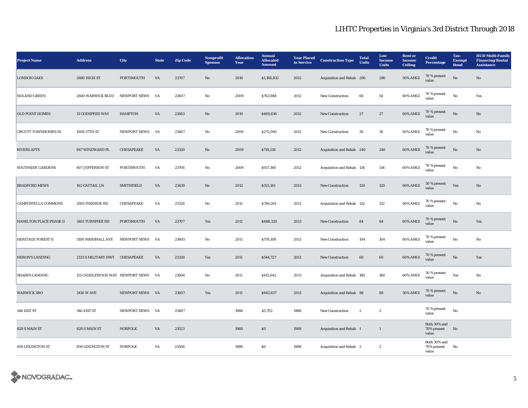| <b>Project Name</b>            | <b>Address</b>                     | <b>City</b>         | <b>State</b> | <b>Zip Code</b> | Nonprofit<br><b>Sponsor</b> | <b>Allocation</b><br>Year | <b>Annual</b><br><b>Allocated</b><br><b>Amount</b> | <b>Year Placed</b><br>in Service | <b>Construction Type</b>       | <b>Total</b><br><b>Units</b> | Low<br><b>Income</b><br><b>Units</b> | <b>Rent or</b><br><b>Income</b><br>Ceiling | <b>Credit</b><br>Percentage          | Tax-<br><b>Exempt</b><br><b>Bond</b> | <b>HUD Multi-Family</b><br><b>Financing/Rental</b><br><b>Assistance</b> |
|--------------------------------|------------------------------------|---------------------|--------------|-----------------|-----------------------------|---------------------------|----------------------------------------------------|----------------------------------|--------------------------------|------------------------------|--------------------------------------|--------------------------------------------|--------------------------------------|--------------------------------------|-------------------------------------------------------------------------|
| <b>LONDON OAKS</b>             | 2680 HIGH ST                       | PORTSMOUTH          | VA           | 23707           | $\mathbf{N}\mathbf{o}$      | 2010                      | \$1,168,832                                        | 2012                             | Acquisition and Rehab 296      |                              | 296                                  | <b>50% AMGI</b>                            | 70 % present<br>value                | $\rm \bf No$                         | $\mathbf{N}\mathbf{o}$                                                  |
| <b>NOLAND GREEN</b>            | 2600 WARWICK BLVD NEWPORT NEWS VA  |                     |              | 23607           | No                          | 2009                      | \$763,948                                          | 2012                             | <b>New Construction</b>        | 60                           | 54                                   | 60% AMGI                                   | $70\,\%$ present<br>value            | No                                   | Yes                                                                     |
| <b>OLD POINT HOMES</b>         | <b>13 GODSPEED WAY</b>             | <b>HAMPTON</b>      | VA           | 23663           | No                          | 2010                      | \$469,836                                          | 2012                             | <b>New Construction</b>        | 27                           | 27                                   | 60% AMGI                                   | 70 % present<br>value                | No                                   | No                                                                      |
| ORCUTT TOWNHOMES III           | 1008 37TH ST                       | NEWPORT NEWS        | VA           | 23607           | $_{\rm No}$                 | 2009                      | \$272,060                                          | 2012                             | <b>New Construction</b>        | $30\,$                       | $30\,$                               | 60% AMGI                                   | 70 % present<br>value                | $_{\rm No}$                          | $\rm No$                                                                |
| <b>RIVERS APTS</b>             | 847 WINDWARD PL                    | CHESAPEAKE          | VA           | 23320           | No                          | 2009                      | \$719,218                                          | 2012                             | Acquisition and Rehab 240      |                              | 240                                  | 60% AMGI                                   | 70 % present<br>value                | No                                   | No                                                                      |
| <b>SOUTHSIDE GARDENS</b>       | <b>607 JEFFERSON ST</b>            | PORTSMOUTH          | VA           | 23704           | No                          | 2009                      | \$617,360                                          | 2012                             | Acquisition and Rehab 134      |                              | 134                                  | 60% AMGI                                   | 70 % present<br>value                | No                                   | No                                                                      |
| <b>BRADFORD MEWS</b>           | 102 CATTAIL LN                     | <b>SMITHFIELD</b>   | VA           | 23430           | No                          | 2012                      | \$321,181                                          | 2013                             | New Construction               | 120                          | 120                                  | 60% AMGI                                   | 30 % present<br>value                | Yes                                  | No                                                                      |
| <b>CAMPOSTELLA COMMONS</b>     | 2905 FIRESIDE RD                   | CHESAPEAKE          | VA           | 23324           | No                          | 2011                      | \$740,261                                          | 2013                             | Acquisition and Rehab 132      |                              | 132                                  | 60% AMGI                                   | 70 % present<br>value                | No                                   | No                                                                      |
| <b>HAMILTON PLACE PHASE II</b> | 3401 TURNPIKE RD                   | PORTSMOUTH          | VA           | 23707           | Yes                         | 2011                      | \$888,320                                          | 2013                             | <b>New Construction</b>        | 84                           | 84                                   | 60% AMGI                                   | 70 % present<br>value                | $\rm \bf No$                         | Yes                                                                     |
| <b>HERITAGE FOREST II</b>      | 5100 MARSHALL AVE                  | <b>NEWPORT NEWS</b> | VA           | 23605           | No                          | 2011                      | \$576,108                                          | 2013                             | <b>New Construction</b>        | 104                          | 104                                  | 60% AMGI                                   | 70 % present<br>value                | No                                   | No                                                                      |
| <b>HERON'S LANDING</b>         | 2133 S MILITARY HWY CHESAPEAKE     |                     | VA           | 23320           | Yes                         | 2011                      | \$544,727                                          | 2013                             | New Construction               | 60                           | 60                                   | 60% AMGI                                   | 70 % present<br>value                | $\rm \bf No$                         | Yes                                                                     |
| <b>SHARPS LANDING</b>          | 151 CANDLEWOOD WAY NEWPORT NEWS VA |                     |              | 23606           | No                          | 2011                      | \$415,642                                          | 2013                             | Acquisition and Rehab 180      |                              | 180                                  | 60% AMGI                                   | 30 % present<br>value                | Yes                                  | No                                                                      |
| <b>WARWICK SRO</b>             | <b>2410 W AVE</b>                  | NEWPORT NEWS VA     |              | 23607           | Yes                         | 2011                      | \$643,637                                          | 2013                             | Acquisition and Rehab 88       |                              | 88                                   | <b>50% AMGI</b>                            | 70 % present<br>value                | No                                   | No                                                                      |
| 546 41ST ST                    | 546 41ST ST                        | <b>NEWPORT NEWS</b> | VA           | 23607           |                             | 1988                      | \$5,702                                            | 1988                             | <b>New Construction</b>        | $\mathbf{2}$                 | $\,$ 2 $\,$                          |                                            | 70 % present<br>value                | $_{\rm No}$                          |                                                                         |
| 828 S MAIN ST                  | 828 S MAIN ST                      | <b>NORFOLK</b>      | VA           | 23523           |                             | 1988                      | $\$0$                                              | 1988                             | <b>Acquisition and Rehab</b> 1 |                              | 1                                    |                                            | Both 30% and<br>70% present<br>value | No                                   |                                                                         |
| 859 LEXINGTON ST               | 859 LEXINGTON ST                   | <b>NORFOLK</b>      | VA           | 23504           |                             | 1988                      | ${\bf S0}$                                         | 1988                             | Acquisition and Rehab 2        |                              | $\boldsymbol{2}$                     |                                            | Both 30% and<br>70% present<br>value | No                                   |                                                                         |

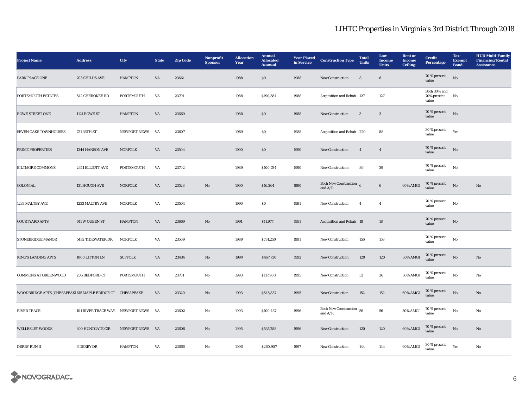| <b>Project Name</b>                                       | <b>Address</b>                   | <b>City</b>         | <b>State</b> | <b>Zip Code</b> | Nonprofit<br><b>Sponsor</b> | <b>Allocation</b><br>Year | <b>Annual</b><br><b>Allocated</b><br><b>Amount</b> | <b>Year Placed</b><br>in Service | <b>Construction Type</b>                  | <b>Total</b><br><b>Units</b> | Low<br><b>Income</b><br><b>Units</b> | <b>Rent</b> or<br><b>Income</b><br><b>Ceiling</b> | <b>Credit</b><br><b>Percentage</b>   | Tax-<br><b>Exempt</b><br><b>Bond</b> | <b>HUD Multi-Family</b><br><b>Financing/Rental</b><br><b>Assistance</b> |
|-----------------------------------------------------------|----------------------------------|---------------------|--------------|-----------------|-----------------------------|---------------------------|----------------------------------------------------|----------------------------------|-------------------------------------------|------------------------------|--------------------------------------|---------------------------------------------------|--------------------------------------|--------------------------------------|-------------------------------------------------------------------------|
| PARK PLACE ONE                                            | 703 CHILDS AVE                   | <b>HAMPTON</b>      | VA           | 23661           |                             | 1988                      | $\$0$                                              | 1988                             | New Construction                          | $\bf8$                       | $\bf8$                               |                                                   | 70 % present<br>value                | $\rm \bf No$                         |                                                                         |
| PORTSMOUTH ESTATES                                        | 542 CHEROKEE RD                  | PORTSMOUTH          | VA           | 23701           |                             | 1988                      | \$190,384                                          | 1988                             | Acquisition and Rehab 127                 |                              | 127                                  |                                                   | Both 30% and<br>70% present<br>value | No                                   |                                                                         |
| <b>ROWE STREET ONE</b>                                    | <b>1121 ROWE ST</b>              | <b>HAMPTON</b>      | VA           | 23669           |                             | 1988                      | \$0\$                                              | 1988                             | <b>New Construction</b>                   | 3                            | $\mathbf{3}$                         |                                                   | 70 % present<br>value                | No                                   |                                                                         |
| <b>SEVEN OAKS TOWNHOUSES</b>                              | 731 36TH ST                      | <b>NEWPORT NEWS</b> | VA           | 23607           |                             | 1989                      | \$0\$                                              | 1988                             | Acquisition and Rehab 220                 |                              | 88                                   |                                                   | 30 % present<br>value                | Yes                                  |                                                                         |
| PRIME PROPERTIES                                          | 1244 HANSON AVE                  | <b>NORFOLK</b>      | VA           | 23504           |                             | 1990                      | $\$0$                                              | 1990                             | New Construction                          | $\overline{4}$               | $\overline{4}$                       |                                                   | 70 % present<br>value                | No                                   |                                                                         |
| <b>BILTMORE COMMONS</b>                                   | 2341 ELLIOTT AVE                 | PORTSMOUTH          | VA           | 23702           |                             | 1989                      | \$100,784                                          | 1990                             | New Construction                          | 89                           | 39                                   |                                                   | 70 % present<br>value                | No                                   |                                                                         |
| <b>COLONIAL</b>                                           | 131 HOUGH AVE                    | <b>NORFOLK</b>      | VA           | 23523           | $\mathbf{N}\mathbf{o}$      | 1990                      | \$16,264                                           | 1990                             | Both New Construction $6$<br>and $A/R$    |                              | $6\phantom{.0}$                      | 60% AMGI                                          | $70$ % present<br>value              | No                                   | No                                                                      |
| 1233 MALTBY AVE                                           | 1233 MALTBY AVE                  | <b>NORFOLK</b>      | VA           | 23504           |                             | 1990                      | $\$0$                                              | 1991                             | New Construction                          | $\overline{4}$               | $\overline{4}$                       |                                                   | 70 % present<br>value                | $_{\rm No}$                          |                                                                         |
| <b>COURTYARD APTS</b>                                     | 911 W QUEEN ST                   | <b>HAMPTON</b>      | VA           | 23669           | No                          | 1991                      | \$11,977                                           | 1991                             | Acquisition and Rehab 18                  |                              | 18                                   |                                                   | 70 % present<br>value                | No                                   |                                                                         |
| <b>STONEBRIDGE MANOR</b>                                  | 5432 TIDEWATER DR                | <b>NORFOLK</b>      | VA           | 23509           |                             | 1989                      | \$731,250                                          | 1991                             | New Construction                          | 156                          | 153                                  |                                                   | 70 % present<br>value                | $_{\rm No}$                          |                                                                         |
| <b>KING'S LANDING APTS</b>                                | 1000 LITTON LN                   | <b>SUFFOLK</b>      | VA           | 23434           | No                          | 1990                      | \$467,730                                          | 1992                             | New Construction                          | 120                          | 120                                  | 60% AMGI                                          | 70 % present<br>value                | No                                   | No                                                                      |
| <b>COMMONS AT GREENWOOD</b>                               | 205 BEDFORD CT                   | PORTSMOUTH          | VA           | 23701           | No                          | 1993                      | \$117,903                                          | 1995                             | <b>New Construction</b>                   | 52                           | 36                                   | 60% AMGI                                          | $70~\%$ present<br>value             | No                                   | No                                                                      |
| WOODBRIDGE APTS (CHESAPEAK1615 MAPLE BRIDGE CT CHESAPEAKE |                                  |                     | VA           | 23320           | $\mathbf{N}\mathbf{o}$      | 1993                      | \$545,837                                          | 1995                             | <b>New Construction</b>                   | 152                          | 152                                  | 60% AMGI                                          | $70\,\%$ present<br>value            | No                                   | No                                                                      |
| <b>RIVER TRACE</b>                                        | 101 RIVER TRACE WAY NEWPORT NEWS |                     | VA           | 23602           | No                          | 1993                      | \$100,437                                          | 1996                             | <b>Both New Construction</b><br>and $A/R$ | 56                           | 56                                   | 50% AMGI                                          | 70 % present<br>value                | No                                   | No                                                                      |
| <b>WELLESLEY WOODS</b>                                    | 300 HUNTGATE CIR                 | <b>NEWPORT NEWS</b> | <b>VA</b>    | 23606           | No                          | 1995                      | \$535,288                                          | 1996                             | <b>New Construction</b>                   | 120                          | 120                                  | 60% AMGI                                          | 70 % present<br>value                | No                                   | No                                                                      |
| <b>DERBY RUN II</b>                                       | <b>6 DERBY DR</b>                | <b>HAMPTON</b>      | VA           | 23666           | No                          | 1996                      | \$260,907                                          | 1997                             | <b>New Construction</b>                   | 144                          | 144                                  | 60% AMGI                                          | 30 % present<br>value                | Yes                                  | No                                                                      |

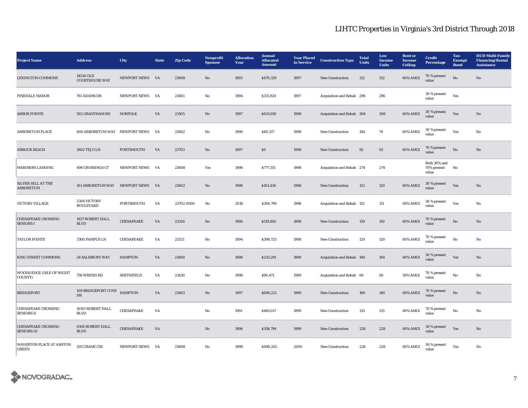| <b>Project Name</b>                              | <b>Address</b>                           | City              | <b>State</b> | <b>Zip Code</b> | Nonprofit<br><b>Sponsor</b> | <b>Allocation</b><br>Year | <b>Annual</b><br><b>Allocated</b><br><b>Amount</b> | <b>Year Placed</b><br>in Service | <b>Construction Type</b>  | <b>Total</b><br><b>Units</b> | Low<br><b>Income</b><br><b>Units</b> | <b>Rent or</b><br><b>Income</b><br><b>Ceiling</b> | <b>Credit</b><br>Percentage          | Tax-<br><b>Exempt</b><br><b>Bond</b> | <b>HUD Multi-Family</b><br><b>Financing/Rental</b><br><b>Assistance</b> |
|--------------------------------------------------|------------------------------------------|-------------------|--------------|-----------------|-----------------------------|---------------------------|----------------------------------------------------|----------------------------------|---------------------------|------------------------------|--------------------------------------|---------------------------------------------------|--------------------------------------|--------------------------------------|-------------------------------------------------------------------------|
| <b>LEXINGTON COMMONS</b>                         | 14534 OLD<br><b>COURTHOUSE WAY</b>       | NEWPORT NEWS VA   |              | 23608           | $\mathbf{N}\mathbf{o}$      | 1993                      | \$470,329                                          | 1997                             | <b>New Construction</b>   | 132                          | 132                                  | 60% AMGI                                          | 70 % present<br>value                | No                                   | No                                                                      |
| PINEDALE MANOR                                   | 761 ADAMS DR                             | NEWPORT NEWS      | <b>VA</b>    | 23601           | No                          | 1994                      | \$331,924                                          | 1997                             | Acquisition and Rehab 296 |                              | 296                                  |                                                   | 30 % present<br>value                | Yes                                  |                                                                         |
| <b>ARBOR POINTE</b>                              | 502 GRANTHAM RD                          | <b>NORFOLK</b>    | VA           | 23505           | No                          | 1997                      | \$631,659                                          | 1998                             | Acquisition and Rehab 308 |                              | 308                                  | 60% AMGI                                          | 30 % present<br>value                | Yes                                  | No                                                                      |
| ARBORETUM PLACE                                  | 400 ARBORETUM WAY NEWPORT NEWS           |                   | <b>VA</b>    | 23602           | No                          | 1996                      | \$80,317                                           | 1998                             | New Construction          | 184                          | 74                                   | 60% AMGI                                          | 30 % present<br>value                | Yes                                  | $\mathbf{No}$                                                           |
| <b>ARBOUR REACH</b>                              | 3602 TEJO LN                             | PORTSMOUTH        | VA           | 23703           | $\mathbf{N}\mathbf{o}$      | 1997                      | $\$0$                                              | 1998                             | New Construction          | 92                           | 92                                   | 60% AMGI                                          | 70 % present<br>value                | No                                   | No                                                                      |
| <b>MARINERS LANDING</b>                          | 494 CROSSINGS CT                         | NEWPORT NEWS      | VA           | 23608           | Yes                         | 1996                      | \$777,315                                          | 1998                             | Acquisition and Rehab 274 |                              | 274                                  |                                                   | Both 30% and<br>70% present<br>value | No                                   |                                                                         |
| <b>SILVER HILL AT THE</b><br><b>ARBORETUM</b>    | 101 ARBORETUM WAY NEWPORT NEWS VA        |                   |              | 23602           | $\mathbf{N}\mathbf{o}$      | 1996                      | \$101,436                                          | 1998                             | New Construction          | 153                          | 120                                  | 60% AMGI                                          | 30 % present<br>value                | Yes                                  | No                                                                      |
| VICTORY VILLAGE                                  | 2304 VICTORY<br><b>BOULEVARD</b>         | PORTSMOUTH        | VA           | 23702-0000      | No                          | 2016                      | \$306,799                                          | 1998                             | Acquisition and Rehab 112 |                              | 111                                  | 60% AMGI                                          | 30 % present<br>value                | Yes                                  | $\mathbf{No}$                                                           |
| <b>CHESAPEAKE CROSSING</b><br><b>SENIORS I</b>   | 1937 ROBERT HALL<br><b>BLVD</b>          | CHESAPEAKE        | VA           | 23324           | No                          | 1990                      | \$519,892                                          | 1998                             | <b>New Construction</b>   | 159                          | 159                                  | 60% AMGI                                          | 70 % present<br>value                | $\rm No$                             | No                                                                      |
| <b>TAYLOR POINTE</b>                             | 3300 PAMPUS LN                           | CHESAPEAKE        | VA           | 23321           | $_{\rm No}$                 | 1994                      | \$398,725                                          | 1998                             | <b>New Construction</b>   | 120                          | 120                                  | 60% AMGI                                          | 70 % present<br>value                | No                                   | $\mathbf{No}$                                                           |
| <b>KING STREET COMMONS</b>                       | <b>24 SALISBURY WAY</b>                  | <b>HAMPTON</b>    | VA           | 23669           | No                          | 1998                      | \$233,291                                          | 1999                             | Acquisition and Rehab 184 |                              | 184                                  | 60% AMGI                                          | 30 % present<br>value                | Yes                                  | No                                                                      |
| WOODS EDGE (ISLE OF WIGHT<br>COUNTY)             | 758 WRENN RD                             | <b>SMITHFIELD</b> | VA           | 23430           | $_{\rm No}$                 | 1998                      | \$90,471                                           | 1999                             | Acquisition and Rehab 60  |                              | 60                                   | 50% AMGI                                          | 70 % present<br>value                | $_{\rm No}$                          | $\mathbf{No}$                                                           |
| <b>BRIDGEPORT</b>                                | 109 BRIDGEPORT COVE HAMPTON<br><b>DR</b> |                   | VA           | 23663           | No                          | 1997                      | \$690,221                                          | 1999                             | <b>New Construction</b>   | 180                          | 180                                  | 60% AMGI                                          | 70 % present<br>value                | No                                   | No                                                                      |
| <b>CHESAPEAKE CROSSING</b><br><b>SENIORS II</b>  | $10101$ ROBERT HALL<br><b>BLVD</b>       | CHESAPEAKE        | VA           |                 | No                          | 1991                      | \$465,017                                          | 1999                             | New Construction          | 135                          | 135                                  | 60% AMGI                                          | 70 % present<br>value                | $_{\rm No}$                          | $_{\rm No}$                                                             |
| <b>CHESAPEAKE CROSSING</b><br><b>SENIORS III</b> | <b>6306 ROBERT HALL</b><br><b>BLVD</b>   | CHESAPEAKE        | VA           |                 | No                          | 1996                      | \$358,794                                          | 1999                             | <b>New Construction</b>   | 228                          | 228                                  | 60% AMGI                                          | 30 % present<br>value                | Yes                                  | No                                                                      |
| WAVERTON PLACE AT ASHTON<br><b>GREEN</b>         | 205 CRANE CIR                            | NEWPORT NEWS VA   |              | 23608           | $\mathbf{No}$               | 1998                      | \$490,262                                          | 2000                             | <b>New Construction</b>   | 228                          | 228                                  | 60% AMGI                                          | 30 % present<br>value                | Yes                                  | $_{\rm No}$                                                             |

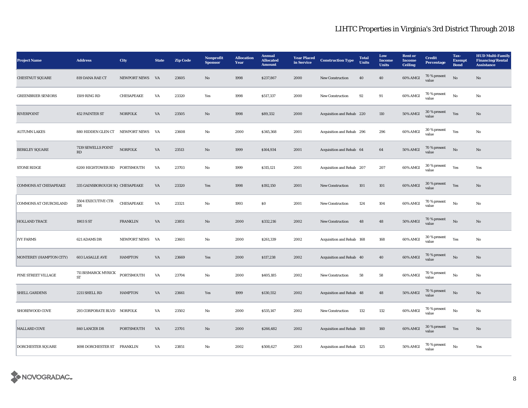| <b>Project Name</b>          | <b>Address</b>                    | <b>City</b>         | <b>State</b>           | <b>Zip Code</b> | <b>Nonprofit</b><br><b>Sponsor</b> | <b>Allocation</b><br>Year | <b>Annual</b><br><b>Allocated</b><br><b>Amount</b> | <b>Year Placed</b><br>in Service | <b>Construction Type</b>  | <b>Total</b><br><b>Units</b> | Low<br><b>Income</b><br><b>Units</b> | <b>Rent</b> or<br><b>Income</b><br><b>Ceiling</b> | <b>Credit</b><br>Percentage | Tax-<br><b>Exempt</b><br><b>Bond</b> | <b>HUD Multi-Family</b><br><b>Financing/Rental</b><br><b>Assistance</b> |
|------------------------------|-----------------------------------|---------------------|------------------------|-----------------|------------------------------------|---------------------------|----------------------------------------------------|----------------------------------|---------------------------|------------------------------|--------------------------------------|---------------------------------------------------|-----------------------------|--------------------------------------|-------------------------------------------------------------------------|
| <b>CHESTNUT SQUARE</b>       | 819 DANA RAE CT                   | <b>NEWPORT NEWS</b> | <b>VA</b>              | 23605           | No                                 | 1998                      | \$237,867                                          | 2000                             | <b>New Construction</b>   | 40                           | 40                                   | 60% AMGI                                          | 70 % present<br>value       | $\rm No$                             | No                                                                      |
| <b>GREENBRIER SENIORS</b>    | 1509 RING RD                      | <b>CHESAPEAKE</b>   | VA                     | 23320           | Yes                                | 1998                      | \$517,337                                          | 2000                             | New Construction          | 92                           | 91                                   | 60% AMGI                                          | 70 % present<br>value       | $_{\rm No}$                          | No                                                                      |
| <b>RIVERPOINT</b>            | <b>452 PAINTER ST</b>             | <b>NORFOLK</b>      | VA                     | 23505           | $\mathbf{N}\mathbf{o}$             | 1998                      | \$89,332                                           | 2000                             | Acquisition and Rehab 220 |                              | 110                                  | <b>50% AMGI</b>                                   | 30 % present<br>value       | Yes                                  | $\mathbf{N}\mathbf{o}$                                                  |
| <b>AUTUMN LAKES</b>          | 880 HIDDEN GLEN CT NEWPORT NEWS   |                     | <b>VA</b>              | 23608           | No                                 | 2000                      | \$345,368                                          | 2001                             | Acquisition and Rehab 296 |                              | 296                                  | 60% AMGI                                          | 30 % present<br>value       | Yes                                  | $\rm No$                                                                |
| <b>BERKLEY SQUARE</b>        | 7139 SEWELLS POINT<br>RD          | <b>NORFOLK</b>      | VA                     | 23513           | No                                 | 1999                      | \$164,934                                          | 2001                             | Acquisition and Rehab 64  |                              | 64                                   | 50% AMGI                                          | 70 % present<br>value       | $\mathbf{N}\mathbf{o}$               | No                                                                      |
| <b>STONE RIDGE</b>           | 6200 HIGHTOWER RD PORTSMOUTH      |                     | VA                     | 23703           | No                                 | 1999                      | \$315,121                                          | 2001                             | Acquisition and Rehab 207 |                              | 207                                  | 60% AMGI                                          | 30 % present<br>value       | Yes                                  | Yes                                                                     |
| <b>COMMONS AT CHESAPEAKE</b> | 335 GAINSBOROUGH SQ CHESAPEAKE    |                     | VA                     | 23320           | Yes                                | 1998                      | \$192,150                                          | 2001                             | <b>New Construction</b>   | 101                          | 101                                  | 60% AMGI                                          | 30 % present<br>value       | Yes                                  | $\mathbf{N}\mathbf{o}$                                                  |
| <b>COMMONS AT CHURCHLAND</b> | 3504 EXECUTIVE CTR<br>DR          | CHESAPEAKE          | VA                     | 23321           | No                                 | 1993                      | $\boldsymbol{\mathsf{S}}\boldsymbol{\mathsf{0}}$   | 2001                             | <b>New Construction</b>   | 124                          | 104                                  | 60% AMGI                                          | 70 % present<br>value       | No                                   | No                                                                      |
| <b>HOLLAND TRACE</b>         | 1903 S ST                         | <b>FRANKLIN</b>     | VA                     | 23851           | $\mathbf{N}\mathbf{o}$             | 2000                      | \$332,216                                          | 2002                             | <b>New Construction</b>   | 48                           | 48                                   | <b>50% AMGI</b>                                   | 70 % present<br>value       | $\rm No$                             | No                                                                      |
| <b>IVY FARMS</b>             | 621 ADAMS DR                      | <b>NEWPORT NEWS</b> | <b>VA</b>              | 23601           | No                                 | 2000                      | \$261,339                                          | 2002                             | Acquisition and Rehab 168 |                              | 168                                  | 60% AMGI                                          | 30 % present<br>value       | Yes                                  | No                                                                      |
| MONTEREY (HAMPTON CITY)      | 603 LASALLE AVE                   | <b>HAMPTON</b>      | $\mathbf{V}\mathbf{A}$ | 23669           | Yes                                | 2000                      | \$117,238                                          | 2002                             | Acquisition and Rehab 40  |                              | 40                                   | 60% AMGI                                          | 70 % present<br>value       | $\rm No$                             | $\mathbf{N}\mathbf{o}$                                                  |
| PINE STREET VILLAGE          | 711 BISMARCK MYRICK<br>${\rm ST}$ | PORTSMOUTH          | VA                     | 23704           | No                                 | 2000                      | \$405,185                                          | 2002                             | New Construction          | 58                           | 58                                   | 60% AMGI                                          | 70 % present<br>value       | $_{\rm No}$                          | No                                                                      |
| SHELL GARDENS                | 2211 SHELL RD                     | <b>HAMPTON</b>      | VA                     | 23661           | Yes                                | 1999                      | \$130,552                                          | 2002                             | Acquisition and Rehab 48  |                              | 48                                   | <b>50% AMGI</b>                                   | $70\,\%$ present<br>value   | $\mathbf{N}\mathbf{o}$               | No                                                                      |
| SHOREWOOD COVE               | 293 CORPORATE BLVD NORFOLK        |                     | VA                     | 23502           | No                                 | 2000                      | \$535,147                                          | 2002                             | <b>New Construction</b>   | 132                          | 132                                  | 60% AMGI                                          | 70 % present<br>value       | No                                   | No                                                                      |
| MALLARD COVE                 | 840 LANCER DR                     | PORTSMOUTH          | VA                     | 23701           | No                                 | 2000                      | \$266,482                                          | 2002                             | Acquisition and Rehab 160 |                              | 160                                  | 60% AMGI                                          | 30 % present<br>value       | Yes                                  | No                                                                      |
| <b>DORCHESTER SQUARE</b>     | 1698 DORCHESTER ST FRANKLIN       |                     | VA                     | 23851           | No                                 | 2002                      | \$508,627                                          | 2003                             | Acquisition and Rehab 125 |                              | 125                                  | <b>50% AMGI</b>                                   | 70 % present<br>value       | $_{\rm No}$                          | Yes                                                                     |

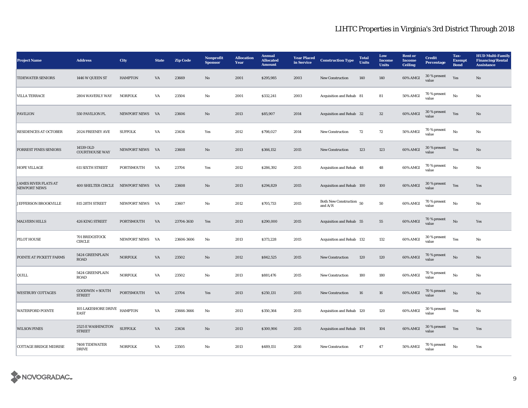| <b>Project Name</b>                                | <b>Address</b>                     | <b>City</b>         | <b>State</b> | <b>Zip Code</b> | <b>Nonprofit</b><br><b>Sponsor</b> | <b>Allocation</b><br>Year | <b>Annual</b><br><b>Allocated</b><br><b>Amount</b> | <b>Year Placed</b><br>in Service | <b>Construction Type</b>              | <b>Total</b><br><b>Units</b> | Low<br><b>Income</b><br><b>Units</b> | <b>Rent</b> or<br><b>Income</b><br><b>Ceiling</b> | <b>Credit</b><br><b>Percentage</b> | Tax-<br><b>Exempt</b><br><b>Bond</b> | <b>HUD Multi-Family</b><br><b>Financing/Rental</b><br><b>Assistance</b> |
|----------------------------------------------------|------------------------------------|---------------------|--------------|-----------------|------------------------------------|---------------------------|----------------------------------------------------|----------------------------------|---------------------------------------|------------------------------|--------------------------------------|---------------------------------------------------|------------------------------------|--------------------------------------|-------------------------------------------------------------------------|
| <b>TIDEWATER SENIORS</b>                           | 1446 W QUEEN ST                    | <b>HAMPTON</b>      | VA           | 23669           | No                                 | 2001                      | \$295,985                                          | 2003                             | <b>New Construction</b>               | 140                          | 140                                  | 60% AMGI                                          | 30 % present<br>value              | Yes                                  | $\mathbf{N}\mathbf{o}$                                                  |
| <b>VILLA TERRACE</b>                               | 2804 WAVERLY WAY                   | <b>NORFOLK</b>      | VA           | 23504           | No                                 | 2001                      | \$332,241                                          | 2003                             | Acquisition and Rehab 81              |                              | 81                                   | 50% AMGI                                          | 70 % present<br>value              | No                                   | No                                                                      |
| <b>PAVILION</b>                                    | 550 PAVILION PL                    | <b>NEWPORT NEWS</b> | VA           | 23606           | No                                 | 2013                      | \$85,907                                           | 2014                             | Acquisition and Rehab 32              |                              | 32                                   | 60% AMGI                                          | 30 % present<br>value              | Yes                                  | No                                                                      |
| <b>RESIDENCES AT OCTOBER</b>                       | 2024 FREENEY AVE                   | <b>SUFFOLK</b>      | VA           | 23434           | Yes                                | 2012                      | \$798,027                                          | 2014                             | <b>New Construction</b>               | 72                           | 72                                   | <b>50% AMGI</b>                                   | 70 % present<br>value              | $_{\rm No}$                          | No                                                                      |
| <b>FORREST PINES SENIORS</b>                       | 14539 OLD<br><b>COURTHOUSE WAY</b> | NEWPORT NEWS VA     |              | 23608           | No                                 | 2013                      | \$366,152                                          | 2015                             | <b>New Construction</b>               | 123                          | 123                                  | 60% AMGI                                          | 30 % present<br>value              | Yes                                  | N <sub>o</sub>                                                          |
| <b>HOPE VILLAGE</b>                                | <b>611 SIXTH STREET</b>            | PORTSMOUTH          | VA           | 23704           | Yes                                | 2012                      | \$286,392                                          | 2015                             | Acquisition and Rehab 48              |                              | 48                                   | 60% AMGI                                          | 70 % present<br>value              | No                                   | No                                                                      |
| <b>JAMES RIVER FLATS AT</b><br><b>NEWPORT NEWS</b> | 400 SHELTER CIRCLE NEWPORT NEWS VA |                     |              | 23608           | $\mathbf{N}\mathbf{o}$             | 2013                      | \$294,829                                          | 2015                             | Acquisition and Rehab 100             |                              | 100                                  | 60% AMGI                                          | 30 % present<br>value              | Yes                                  | Yes                                                                     |
| JEFFERSON BROOKVILLE                               | 815 28TH STREET                    | NEWPORT NEWS        | VA           | 23607           | No                                 | 2012                      | \$705,733                                          | 2015                             | Both New Construction 50<br>and $A/R$ |                              | 50                                   | 60% AMGI                                          | 70 % present<br>value              | No                                   | No                                                                      |
| <b>MALVERN HILLS</b>                               | <b>426 KING STREET</b>             | <b>PORTSMOUTH</b>   | VA           | 23704-3610      | Yes                                | 2013                      | \$290,000                                          | 2015                             | Acquisition and Rehab 55              |                              | 55                                   | 60% AMGI                                          | 70 % present<br>value              | $\mathbf{N}\mathbf{o}$               | Yes                                                                     |
| PILOT HOUSE                                        | 701 BRIDGSTOCK<br><b>CIRCLE</b>    | NEWPORT NEWS        | VA           | 23606-3606      | No                                 | 2013                      | \$373,228                                          | 2015                             | Acquisition and Rehab 132             |                              | 132                                  | 60% AMGI                                          | 30 % present<br>value              | Yes                                  | No                                                                      |
| POINTE AT PICKETT FARMS                            | 5424 GREENPLAIN<br><b>ROAD</b>     | <b>NORFOLK</b>      | VA           | 23502           | No                                 | 2012                      | \$842,525                                          | 2015                             | <b>New Construction</b>               | 120                          | 120                                  | 60% AMGI                                          | 70 % present<br>value              | No                                   | No                                                                      |
| QUILL                                              | 5424 GREENPLAIN<br><b>ROAD</b>     | <b>NORFOLK</b>      | VA           | 23502           | No                                 | 2013                      | \$881,476                                          | 2015                             | <b>New Construction</b>               | 180                          | 180                                  | 60% AMGI                                          | 70 % present<br>value              | No                                   | No                                                                      |
| <b>WESTBURY COTTAGES</b>                           | GOODWIN + SOUTH<br><b>STREET</b>   | PORTSMOUTH          | VA           | 23704           | Yes                                | 2013                      | \$250,131                                          | 2015                             | <b>New Construction</b>               | 16                           | 16                                   | 60% AMGI                                          | 70 % present<br>value              | $\mathbf{N}\mathbf{o}$               | No                                                                      |
| <b>WATERFORD POINTE</b>                            | 105 LAKESHORE DRIVE<br><b>EAST</b> | <b>HAMPTON</b>      | VA           | 23666-3666      | No                                 | 2013                      | \$350,364                                          | 2015                             | Acquisition and Rehab 120             |                              | 120                                  | 60% AMGI                                          | 30 % present<br>value              | Yes                                  | No                                                                      |
| <b>WILSON PINES</b>                                | 2525 E WASHINGTON<br><b>STREET</b> | <b>SUFFOLK</b>      | VA           | 23434           | No                                 | 2013                      | \$300,906                                          | 2015                             | Acquisition and Rehab 104             |                              | 104                                  | 60% AMGI                                          | 30 % present<br>value              | Yes                                  | Yes                                                                     |
| <b>COTTAGE BRIDGE MIDRISE</b>                      | 7408 TIDEWATER<br><b>DRIVE</b>     | <b>NORFOLK</b>      | VA           | 23505           | No                                 | 2013                      | \$489,151                                          | 2016                             | <b>New Construction</b>               | 47                           | 47                                   | 50% AMGI                                          | 70 % present<br>value              | No                                   | Yes                                                                     |

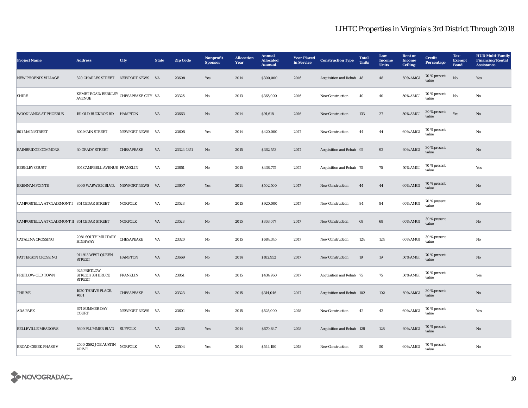| <b>Project Name</b>                          | <b>Address</b>                                         | City                | <b>State</b> | <b>Zip Code</b> | <b>Nonprofit</b><br><b>Sponsor</b> | <b>Allocation</b><br>Year | <b>Annual</b><br><b>Allocated</b><br><b>Amount</b> | <b>Year Placed</b><br>in Service | <b>Construction Type</b>  | <b>Total</b><br><b>Units</b> | Low<br><b>Income</b><br><b>Units</b> | <b>Rent or</b><br><b>Income</b><br><b>Ceiling</b> | <b>Credit</b><br><b>Percentage</b> | Tax-<br><b>Exempt</b><br><b>Bond</b> | <b>HUD Multi-Family</b><br><b>Financing/Rental</b><br><b>Assistance</b> |
|----------------------------------------------|--------------------------------------------------------|---------------------|--------------|-----------------|------------------------------------|---------------------------|----------------------------------------------------|----------------------------------|---------------------------|------------------------------|--------------------------------------|---------------------------------------------------|------------------------------------|--------------------------------------|-------------------------------------------------------------------------|
| <b>NEW PHOENIX VILLAGE</b>                   | 320 CHARLES STREET NEWPORT NEWS                        |                     | <b>VA</b>    | 23608           | Yes                                | 2014                      | \$300,000                                          | 2016                             | Acquisition and Rehab 48  |                              | 48                                   | 60% AMGI                                          | 70 % present<br>value              | $\rm \bf No$                         | Yes                                                                     |
| <b>SHIRE</b>                                 | KEMET ROAD/BERKLEY CHESAPEAKE CITY VA<br><b>AVENUE</b> |                     |              | 23325           | No                                 | 2013                      | \$365,000                                          | 2016                             | New Construction          | 40                           | 40                                   | <b>50% AMGI</b>                                   | 70 % present<br>value              | No                                   | No                                                                      |
| <b>WOODLANDS AT PHOEBUS</b>                  | 151 OLD BUCKROE RD HAMPTON                             |                     | VA           | 23663           | No                                 | 2014                      | \$91,618                                           | 2016                             | <b>New Construction</b>   | 133                          | 27                                   | <b>50% AMGI</b>                                   | 30 % present<br>value              | Yes                                  | No                                                                      |
| 801 MAIN STREET                              | 801 MAIN STREET                                        | <b>NEWPORT NEWS</b> | VA           | 23605           | Yes                                | 2014                      | \$420,000                                          | 2017                             | New Construction          | 44                           | 44                                   | 60% AMGI                                          | 70 % present<br>value              |                                      | No                                                                      |
| <b>BAINBRIDGE COMMONS</b>                    | <b>30 GRADY STREET</b>                                 | CHESAPEAKE          | VA           | 23324-1351      | $\mathbf{N}\mathbf{o}$             | 2015                      | \$362,553                                          | 2017                             | Acquisition and Rehab 92  |                              | 92                                   | 60% AMGI                                          | 30 % present<br>value              |                                      | No                                                                      |
| <b>BERKLEY COURT</b>                         | 601 CAMPBELL AVENUE FRANKLIN                           |                     | VA           | 23851           | No                                 | 2015                      | \$438,775                                          | 2017                             | Acquisition and Rehab 75  |                              | 75                                   | 50% AMGI                                          | 70 % present<br>value              |                                      | Yes                                                                     |
| <b>BRENNAN POINTE</b>                        | 3000 WARWICK BLVD. NEWPORT NEWS VA                     |                     |              | 23607           | Yes                                | 2014                      | \$502,500                                          | 2017                             | <b>New Construction</b>   | 44                           | 44                                   | 60% AMGI                                          | 70 % present<br>value              |                                      | No                                                                      |
| CAMPOSTELLA AT CLAIRMONT I 851 CEDAR STREET  |                                                        | <b>NORFOLK</b>      | VA           | 23523           | No                                 | 2015                      | \$920,000                                          | 2017                             | <b>New Construction</b>   | 84                           | 84                                   | 60% AMGI                                          | 70 % present<br>value              |                                      | No                                                                      |
| CAMPOSTELLA AT CLAIRMONT II 851 CEDAR STREET |                                                        | <b>NORFOLK</b>      | VA           | 23523           | No                                 | 2015                      | \$363,077                                          | 2017                             | <b>New Construction</b>   | 68                           | 68                                   | 60% AMGI                                          | 30 % present<br>value              |                                      | No                                                                      |
| <b>CATALINA CROSSING</b>                     | 2081 SOUTH MILITARY<br><b>HIGHWAY</b>                  | CHESAPEAKE          | VA           | 23320           | $\mathbf{No}$                      | 2015                      | \$684,345                                          | 2017                             | New Construction          | 124                          | 124                                  | 60% AMGI                                          | 30 % present<br>value              |                                      | No                                                                      |
| PATTERSON CROSSING                           | 911-913 WEST QUEEN<br><b>STREET</b>                    | <b>HAMPTON</b>      | VA           | 23669           | No                                 | 2014                      | \$182,952                                          | 2017                             | New Construction          | 19                           | 19                                   | <b>50% AMGI</b>                                   | 70 % present<br>value              |                                      | No                                                                      |
| <b>PRETLOW-OLD TOWN</b>                      | 925 PRETLOW<br>STREET/331 BRUCE<br><b>STREET</b>       | <b>FRANKLIN</b>     | VA           | 23851           | No                                 | 2015                      | \$434,960                                          | 2017                             | Acquisition and Rehab 75  |                              | 75                                   | 50% AMGI                                          | 70 % present<br>value              |                                      | Yes                                                                     |
| <b>THRIVE</b>                                | 1020 THRIVE PLACE,<br>#101                             | CHESAPEAKE          | VA           | 23323           | $\mathbf{N}\mathbf{o}$             | 2015                      | \$314,046                                          | 2017                             | Acquisition and Rehab 102 |                              | 102                                  | 60% AMGI                                          | 30 % present<br>value              |                                      | No                                                                      |
| <b>ADA PARK</b>                              | <b>674 SUMMER DAY</b><br>COURT                         | NEWPORT NEWS        | VA           | 23601           | No                                 | 2015                      | \$525,000                                          | 2018                             | New Construction          | 42                           | 42                                   | 60% AMGI                                          | 70 % present<br>value              |                                      | Yes                                                                     |
| <b>BELLEVILLE MEADOWS</b>                    | 5609 PLUMMER BLVD SUFFOLK                              |                     | VA           | 23435           | Yes                                | 2014                      | \$670,847                                          | 2018                             | Acquisition and Rehab 128 |                              | 128                                  | 60% AMGI                                          | 70 % present<br>value              |                                      | No                                                                      |
| <b>BROAD CREEK PHASE V</b>                   | 2500-2592 JOE AUSTIN<br><b>DRIVE</b>                   | <b>NORFOLK</b>      | VA           | 23504           | Yes                                | 2014                      | \$544,100                                          | 2018                             | <b>New Construction</b>   | 50                           | 50                                   | 60% AMGI                                          | 70 % present<br>value              |                                      | No                                                                      |